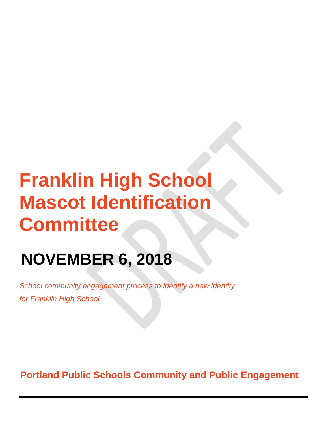# **Franklin High School Mascot Identification Committee**

# **NOVEMBER 6, 2018**

*School community engagement process to identify a new identity for Franklin High School* 

**Portland Public Schools Community and Public Engagement**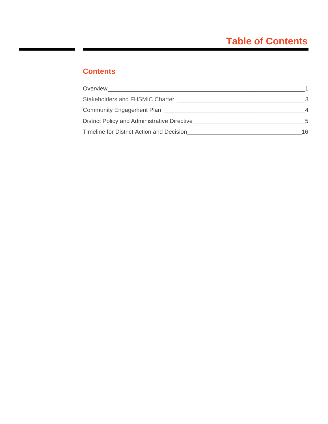# **Table of Contents**

## **Contents**

| Overview                                         |    |
|--------------------------------------------------|----|
| <b>Stakeholders and FHSMIC Charter</b>           |    |
| Community Engagement Plan                        |    |
| District Policy and Administrative Directive     | 5  |
| <b>Timeline for District Action and Decision</b> | 16 |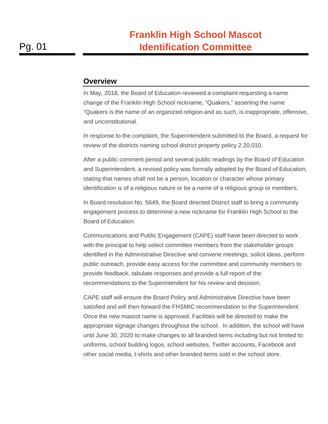### **Overview**

In May, 2018, the Board of Education reviewed a complaint requesting a name change of the Franklin High School nickname, "Quakers," asserting the name "Quakers is the name of an organized religion and as such, is inappropriate, offensive, and unconstitutional.

In response to the complaint, the Superintendent submitted to the Board, a request for review of the districts naming school district property policy 2.20.010.

After a public comment period and several public readings by the Board of Education and Superintendent, a revised policy was formally adopted by the Board of Education, stating that names shall not be a person, location or character whose primary identification is of a religious nature or be a name of a religious group or members.

In Board resolution No. 5649, the Board directed District staff to bring a community engagement process to determine a new nickname for Franklin High School to the Board of Education.

Communications and Public Engagement (CAPE) staff have been directed to work with the principal to help select committee members from the stakeholder groups identified in the Administrative Directive and convene meetings, solicit ideas, perform public outreach, provide easy access for the committee and community members to provide feedback, tabulate responses and provide a full report of the recommendations to the Superintendent for his review and decision.

CAPE staff will ensure the Board Policy and Administrative Directive have been satisfied and will then forward the FHSMIC recommendation to the Superintendent. Once the new mascot name is approved, Facilities will be directed to make the appropriate signage changes throughout the school. In addition, the school will have until June 30, 2020 to make changes to all branded items including but not limited to: uniforms, school building logos, school websites, Twitter accounts, Facebook and other social media, t-shirts and other branded items sold in the school store.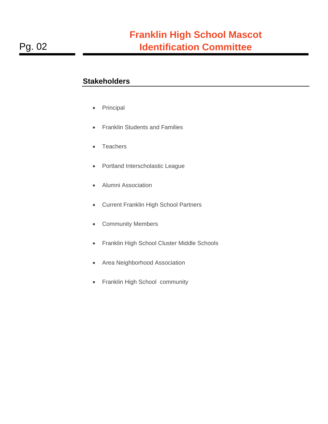## **Stakeholders**

- Principal
- Franklin Students and Families
- Teachers
- Portland Interscholastic League
- Alumni Association
- Current Franklin High School Partners
- Community Members
- Franklin High School Cluster Middle Schools
- Area Neighborhood Association
- Franklin High School community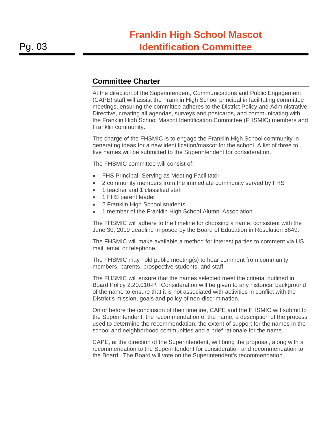### **Committee Charter**

At the direction of the Superintendent, Communications and Public Engagement (CAPE) staff will assist the Franklin High School principal in facilitating committee meetings, ensuring the committee adheres to the District Policy and Administrative Directive, creating all agendas, surveys and postcards, and communicating with the Franklin High School Mascot Identification Committee (FHSMIC) members and Franklin community.

The charge of the FHSMIC is to engage the Franklin High School community in generating ideas for a new identification/mascot for the school. A list of three to five names will be submitted to the Superintendent for consideration.

The FHSMIC committee will consist of:

- FHS Principal- Serving as Meeting Facilitator
- 2 community members from the immediate community served by FHS
- 1 teacher and 1 classified staff
- 1 FHS parent leader
- 2 Franklin High School students
- 1 member of the Franklin High School Alumni Association

The FHSMIC will adhere to the timeline for choosing a name, consistent with the June 30, 2019 deadline imposed by the Board of Education in Resolution 5649.

The FHSMIC will make available a method for interest parties to comment via US mail, email or telephone.

The FHSMIC may hold public meeting(s) to hear comment from community members, parents, prospective students, and staff.

The FHSMIC will ensure that the names selected meet the criterial outlined in Board Policy 2.20.010-P. Consideration will be given to any historical background of the name to ensure that it is not associated with activities in conflict with the District's mission, goals and policy of non-discrimination.

On or before the conclusion of their timeline, CAPE and the FHSMIC will submit to the Superintendent, the recommendation of the name, a description of the process used to determine the recommendation, the extent of support for the names in the school and neighborhood communities and a brief rationale for the name.

CAPE, at the direction of the Superintendent, will bring the proposal, along with a recommendation to the Superintendent for consideration and recommendation to the Board. The Board will vote on the Superintendent's recommendation.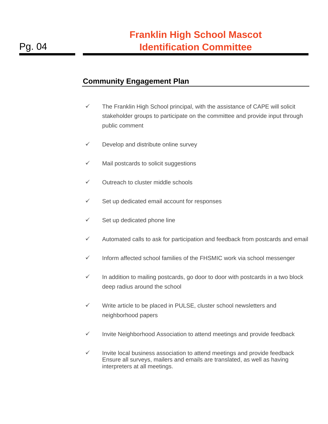## **Community Engagement Plan**

- $\checkmark$  The Franklin High School principal, with the assistance of CAPE will solicit stakeholder groups to participate on the committee and provide input through public comment
- $\checkmark$  Develop and distribute online survey
- $\checkmark$  Mail postcards to solicit suggestions
- $\checkmark$  Outreach to cluster middle schools
- $\checkmark$  Set up dedicated email account for responses
- $\checkmark$  Set up dedicated phone line
- $\checkmark$  Automated calls to ask for participation and feedback from postcards and email
- $\checkmark$  Inform affected school families of the FHSMIC work via school messenger
- $\checkmark$  In addition to mailing postcards, go door to door with postcards in a two block deep radius around the school
- $\checkmark$  Write article to be placed in PULSE, cluster school newsletters and neighborhood papers
- $\checkmark$  Invite Neighborhood Association to attend meetings and provide feedback
- $\checkmark$  Invite local business association to attend meetings and provide feedback Ensure all surveys, mailers and emails are translated, as well as having interpreters at all meetings.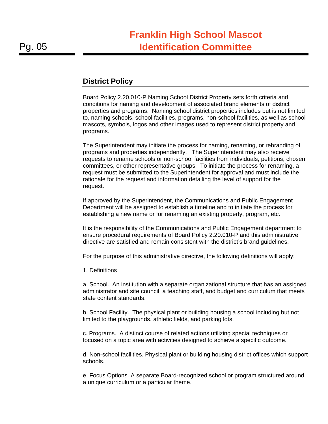## **District Policy**

Board Policy 2.20.010-P Naming School District Property sets forth criteria and conditions for naming and development of associated brand elements of district properties and programs. Naming school district properties includes but is not limited to, naming schools, school facilities, programs, non-school facilities, as well as school mascots, symbols, logos and other images used to represent district property and programs.

The Superintendent may initiate the process for naming, renaming, or rebranding of programs and properties independently. The Superintendent may also receive requests to rename schools or non-school facilities from individuals, petitions, chosen committees, or other representative groups. To initiate the process for renaming, a request must be submitted to the Superintendent for approval and must include the rationale for the request and information detailing the level of support for the request.

If approved by the Superintendent, the Communications and Public Engagement Department will be assigned to establish a timeline and to initiate the process for establishing a new name or for renaming an existing property, program, etc.

It is the responsibility of the Communications and Public Engagement department to ensure procedural requirements of Board Policy 2.20.010-P and this administrative directive are satisfied and remain consistent with the district's brand guidelines.

For the purpose of this administrative directive, the following definitions will apply:

1. Definitions

a. School. An institution with a separate organizational structure that has an assigned administrator and site council, a teaching staff, and budget and curriculum that meets state content standards.

b. School Facility. The physical plant or building housing a school including but not limited to the playgrounds, athletic fields, and parking lots.

c. Programs. A distinct course of related actions utilizing special techniques or focused on a topic area with activities designed to achieve a specific outcome.

d. Non-school facilities. Physical plant or building housing district offices which support schools.

e. Focus Options. A separate Board-recognized school or program structured around a unique curriculum or a particular theme.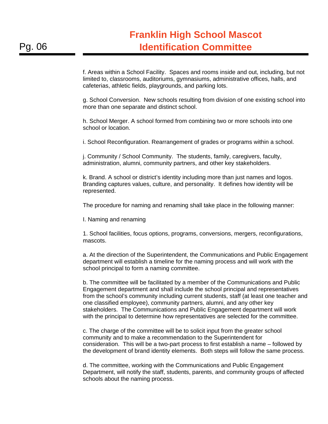f. Areas within a School Facility. Spaces and rooms inside and out, including, but not limited to, classrooms, auditoriums, gymnasiums, administrative offices, halls, and cafeterias, athletic fields, playgrounds, and parking lots.

g. School Conversion. New schools resulting from division of one existing school into more than one separate and distinct school.

h. School Merger. A school formed from combining two or more schools into one school or location.

i. School Reconfiguration. Rearrangement of grades or programs within a school.

j. Community / School Community. The students, family, caregivers, faculty, administration, alumni, community partners, and other key stakeholders.

k. Brand. A school or district's identity including more than just names and logos. Branding captures values, culture, and personality. It defines how identity will be represented.

The procedure for naming and renaming shall take place in the following manner:

I. Naming and renaming

1. School facilities, focus options, programs, conversions, mergers, reconfigurations, mascots.

a. At the direction of the Superintendent, the Communications and Public Engagement department will establish a timeline for the naming process and will work with the school principal to form a naming committee.

b. The committee will be facilitated by a member of the Communications and Public Engagement department and shall include the school principal and representatives from the school's community including current students, staff (at least one teacher and one classified employee), community partners, alumni, and any other key stakeholders. The Communications and Public Engagement department will work with the principal to determine how representatives are selected for the committee.

c. The charge of the committee will be to solicit input from the greater school community and to make a recommendation to the Superintendent for consideration. This will be a two-part process to first establish a name – followed by the development of brand identity elements. Both steps will follow the same process.

d. The committee, working with the Communications and Public Engagement Department, will notify the staff, students, parents, and community groups of affected schools about the naming process.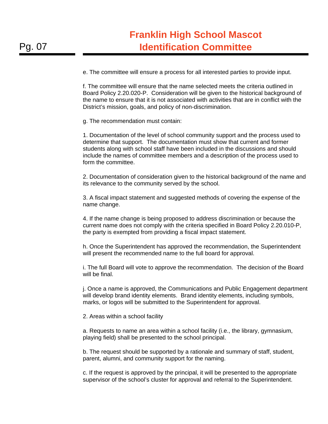e. The committee will ensure a process for all interested parties to provide input.

f. The committee will ensure that the name selected meets the criteria outlined in Board Policy 2.20.020-P. Consideration will be given to the historical background of the name to ensure that it is not associated with activities that are in conflict with the District's mission, goals, and policy of non-discrimination.

g. The recommendation must contain:

1. Documentation of the level of school community support and the process used to determine that support. The documentation must show that current and former students along with school staff have been included in the discussions and should include the names of committee members and a description of the process used to form the committee.

2. Documentation of consideration given to the historical background of the name and its relevance to the community served by the school.

3. A fiscal impact statement and suggested methods of covering the expense of the name change.

4. If the name change is being proposed to address discrimination or because the current name does not comply with the criteria specified in Board Policy 2.20.010-P, the party is exempted from providing a fiscal impact statement.

h. Once the Superintendent has approved the recommendation, the Superintendent will present the recommended name to the full board for approval.

i. The full Board will vote to approve the recommendation. The decision of the Board will be final.

j. Once a name is approved, the Communications and Public Engagement department will develop brand identity elements. Brand identity elements, including symbols, marks, or logos will be submitted to the Superintendent for approval.

2. Areas within a school facility

a. Requests to name an area within a school facility (i.e., the library, gymnasium, playing field) shall be presented to the school principal.

b. The request should be supported by a rationale and summary of staff, student, parent, alumni, and community support for the naming.

c. If the request is approved by the principal, it will be presented to the appropriate supervisor of the school's cluster for approval and referral to the Superintendent.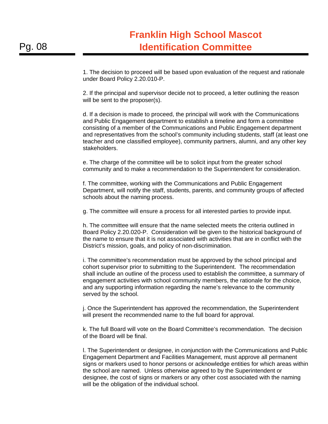1. The decision to proceed will be based upon evaluation of the request and rationale under Board Policy 2.20.010-P.

2. If the principal and supervisor decide not to proceed, a letter outlining the reason will be sent to the proposer(s).

d. If a decision is made to proceed, the principal will work with the Communications and Public Engagement department to establish a timeline and form a committee consisting of a member of the Communications and Public Engagement department and representatives from the school's community including students, staff (at least one teacher and one classified employee), community partners, alumni, and any other key stakeholders.

e. The charge of the committee will be to solicit input from the greater school community and to make a recommendation to the Superintendent for consideration.

f. The committee, working with the Communications and Public Engagement Department, will notify the staff, students, parents, and community groups of affected schools about the naming process.

g. The committee will ensure a process for all interested parties to provide input.

h. The committee will ensure that the name selected meets the criteria outlined in Board Policy 2.20.020-P. Consideration will be given to the historical background of the name to ensure that it is not associated with activities that are in conflict with the District's mission, goals, and policy of non-discrimination.

i. The committee's recommendation must be approved by the school principal and cohort supervisor prior to submitting to the Superintendent. The recommendation shall include an outline of the process used to establish the committee, a summary of engagement activities with school community members, the rationale for the choice, and any supporting information regarding the name's relevance to the community served by the school.

j. Once the Superintendent has approved the recommendation, the Superintendent will present the recommended name to the full board for approval.

k. The full Board will vote on the Board Committee's recommendation. The decision of the Board will be final.

l. The Superintendent or designee, in conjunction with the Communications and Public Engagement Department and Facilities Management, must approve all permanent signs or markers used to honor persons or acknowledge entities for which areas within the school are named. Unless otherwise agreed to by the Superintendent or designee, the cost of signs or markers or any other cost associated with the naming will be the obligation of the individual school.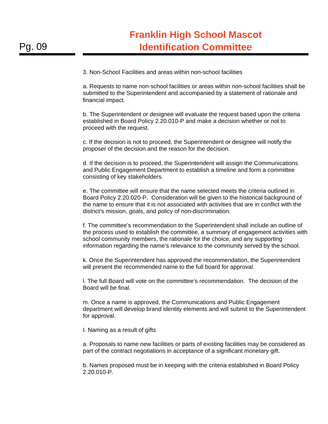3. Non-School Facilities and areas within non-school facilities

a. Requests to name non-school facilities or areas within non-school facilities shall be submitted to the Superintendent and accompanied by a statement of rationale and financial impact.

b. The Superintendent or designee will evaluate the request based upon the criteria established in Board Policy 2.20.010-P and make a decision whether or not to proceed with the request.

c. If the decision is not to proceed, the Superintendent or designee will notify the proposer of the decision and the reason for the decision.

d. If the decision is to proceed, the Superintendent will assign the Communications and Public Engagement Department to establish a timeline and form a committee consisting of key stakeholders.

e. The committee will ensure that the name selected meets the criteria outlined in Board Policy 2.20.020-P. Consideration will be given to the historical background of the name to ensure that it is not associated with activities that are in conflict with the district's mission, goals, and policy of non-discrimination.

f. The committee's recommendation to the Superintendent shall include an outline of the process used to establish the committee, a summary of engagement activities with school community members, the rationale for the choice, and any supporting information regarding the name's relevance to the community served by the school.

k. Once the Superintendent has approved the recommendation, the Superintendent will present the recommended name to the full board for approval.

l. The full Board will vote on the committee's recommendation. The decision of the Board will be final.

m. Once a name is approved, the Communications and Public Engagement department will develop brand identity elements and will submit to the Superintendent for approval.

I. Naming as a result of gifts

a. Proposals to name new facilities or parts of existing facilities may be considered as part of the contract negotiations in acceptance of a significant monetary gift.

b. Names proposed must be in keeping with the criteria established in Board Policy 2.20.010-P.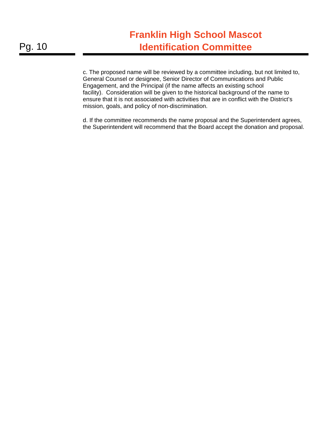c. The proposed name will be reviewed by a committee including, but not limited to, General Counsel or designee, Senior Director of Communications and Public Engagement, and the Principal (if the name affects an existing school facility). Consideration will be given to the historical background of the name to ensure that it is not associated with activities that are in conflict with the District's mission, goals, and policy of non-discrimination.

d. If the committee recommends the name proposal and the Superintendent agrees, the Superintendent will recommend that the Board accept the donation and proposal.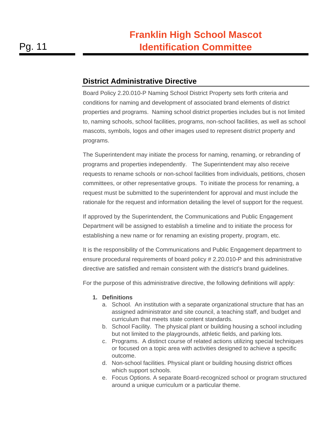## **District Administrative Directive**

Board Policy 2.20.010-P Naming School District Property sets forth criteria and conditions for naming and development of associated brand elements of district properties and programs. Naming school district properties includes but is not limited to, naming schools, school facilities, programs, non-school facilities, as well as school mascots, symbols, logos and other images used to represent district property and programs.

The Superintendent may initiate the process for naming, renaming, or rebranding of programs and properties independently. The Superintendent may also receive requests to rename schools or non-school facilities from individuals, petitions, chosen committees, or other representative groups. To initiate the process for renaming, a request must be submitted to the superintendent for approval and must include the rationale for the request and information detailing the level of support for the request.

If approved by the Superintendent, the Communications and Public Engagement Department will be assigned to establish a timeline and to initiate the process for establishing a new name or for renaming an existing property, program, etc.

It is the responsibility of the Communications and Public Engagement department to ensure procedural requirements of board policy # 2.20.010-P and this administrative directive are satisfied and remain consistent with the district's brand guidelines.

For the purpose of this administrative directive, the following definitions will apply:

#### **1. Definitions**

- a. School. An institution with a separate organizational structure that has an assigned administrator and site council, a teaching staff, and budget and curriculum that meets state content standards.
- b. School Facility. The physical plant or building housing a school including but not limited to the playgrounds, athletic fields, and parking lots.
- c. Programs. A distinct course of related actions utilizing special techniques or focused on a topic area with activities designed to achieve a specific outcome.
- d. Non-school facilities. Physical plant or building housing district offices which support schools.
- e. Focus Options. A separate Board-recognized school or program structured around a unique curriculum or a particular theme.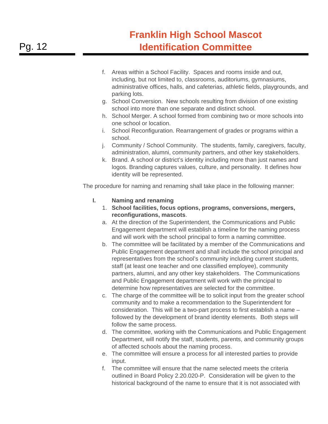# Pg. 12

# **Franklin High School Mascot Identification Committee**

- f. Areas within a School Facility. Spaces and rooms inside and out, including, but not limited to, classrooms, auditoriums, gymnasiums, administrative offices, halls, and cafeterias, athletic fields, playgrounds, and parking lots.
- g. School Conversion. New schools resulting from division of one existing school into more than one separate and distinct school.
- h. School Merger. A school formed from combining two or more schools into one school or location.
- i. School Reconfiguration. Rearrangement of grades or programs within a school.
- j. Community / School Community. The students, family, caregivers, faculty, administration, alumni, community partners, and other key stakeholders.
- k. Brand. A school or district's identity including more than just names and logos. Branding captures values, culture, and personality. It defines how identity will be represented.

The procedure for naming and renaming shall take place in the following manner:

#### **I. Naming and renaming**

- 1. **School facilities, focus options, programs, conversions, mergers, reconfigurations, mascots**.
- a. At the direction of the Superintendent, the Communications and Public Engagement department will establish a timeline for the naming process and will work with the school principal to form a naming committee.
- b. The committee will be facilitated by a member of the Communications and Public Engagement department and shall include the school principal and representatives from the school's community including current students, staff (at least one teacher and one classified employee), community partners, alumni, and any other key stakeholders. The Communications and Public Engagement department will work with the principal to determine how representatives are selected for the committee.
- c. The charge of the committee will be to solicit input from the greater school community and to make a recommendation to the Superintendent for consideration. This will be a two-part process to first establish a name – followed by the development of brand identity elements. Both steps will follow the same process.
- d. The committee, working with the Communications and Public Engagement Department, will notify the staff, students, parents, and community groups of affected schools about the naming process.
- e. The committee will ensure a process for all interested parties to provide input.
- f. The committee will ensure that the name selected meets the criteria outlined in Board Policy 2.20.020-P. Consideration will be given to the historical background of the name to ensure that it is not associated with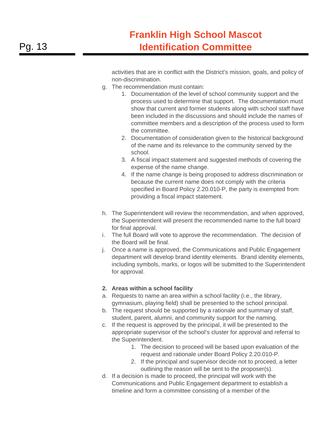activities that are in conflict with the District's mission, goals, and policy of non-discrimination.

- g. The recommendation must contain:
	- 1. Documentation of the level of school community support and the process used to determine that support. The documentation must show that current and former students along with school staff have been included in the discussions and should include the names of committee members and a description of the process used to form the committee.
		- 2. Documentation of consideration given to the historical background of the name and its relevance to the community served by the school.
		- 3. A fiscal impact statement and suggested methods of covering the expense of the name change.
		- 4. If the name change is being proposed to address discrimination or because the current name does not comply with the criteria specified in Board Policy 2.20.010-P, the party is exempted from providing a fiscal impact statement.
- h. The Superintendent will review the recommendation, and when approved, the Superintendent will present the recommended name to the full board for final approval.
- i. The full Board will vote to approve the recommendation. The decision of the Board will be final.
- j. Once a name is approved, the Communications and Public Engagement department will develop brand identity elements. Brand identity elements, including symbols, marks, or logos will be submitted to the Superintendent for approval.

#### **2. Areas within a school facility**

- a. Requests to name an area within a school facility (i.e., the library, gymnasium, playing field) shall be presented to the school principal.
- b. The request should be supported by a rationale and summary of staff, student, parent, alumni, and community support for the naming.
- c. If the request is approved by the principal, it will be presented to the appropriate supervisor of the school's cluster for approval and referral to the Superintendent.
	- 1. The decision to proceed will be based upon evaluation of the request and rationale under Board Policy 2.20.010-P.
	- 2. If the principal and supervisor decide not to proceed, a letter outlining the reason will be sent to the proposer(s).
- d. If a decision is made to proceed, the principal will work with the Communications and Public Engagement department to establish a timeline and form a committee consisting of a member of the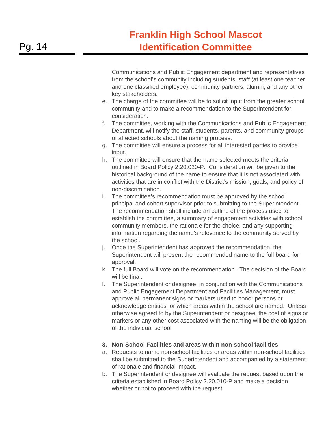# **Franklin High School Mascot Identification Committee**

Communications and Public Engagement department and representatives from the school's community including students, staff (at least one teacher and one classified employee), community partners, alumni, and any other key stakeholders.

- e. The charge of the committee will be to solicit input from the greater school community and to make a recommendation to the Superintendent for consideration.
- f. The committee, working with the Communications and Public Engagement Department, will notify the staff, students, parents, and community groups of affected schools about the naming process.
- g. The committee will ensure a process for all interested parties to provide input.
- h. The committee will ensure that the name selected meets the criteria outlined in Board Policy 2.20.020-P. Consideration will be given to the historical background of the name to ensure that it is not associated with activities that are in conflict with the District's mission, goals, and policy of non-discrimination.
- i. The committee's recommendation must be approved by the school principal and cohort supervisor prior to submitting to the Superintendent. The recommendation shall include an outline of the process used to establish the committee, a summary of engagement activities with school community members, the rationale for the choice, and any supporting information regarding the name's relevance to the community served by the school.
- j. Once the Superintendent has approved the recommendation, the Superintendent will present the recommended name to the full board for approval.
- k. The full Board will vote on the recommendation. The decision of the Board will be final.
- l. The Superintendent or designee, in conjunction with the Communications and Public Engagement Department and Facilities Management, must approve all permanent signs or markers used to honor persons or acknowledge entities for which areas within the school are named. Unless otherwise agreed to by the Superintendent or designee, the cost of signs or markers or any other cost associated with the naming will be the obligation of the individual school.

#### **3. Non-School Facilities and areas within non-school facilities**

- a. Requests to name non-school facilities or areas within non-school facilities shall be submitted to the Superintendent and accompanied by a statement of rationale and financial impact.
- b. The Superintendent or designee will evaluate the request based upon the criteria established in Board Policy 2.20.010-P and make a decision whether or not to proceed with the request.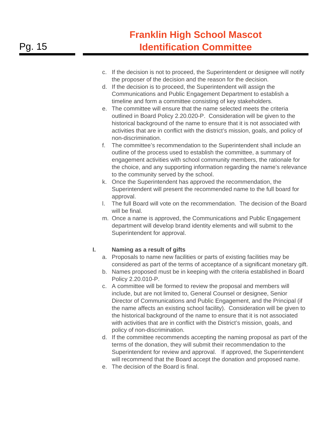- c. If the decision is not to proceed, the Superintendent or designee will notify the proposer of the decision and the reason for the decision.
- d. If the decision is to proceed, the Superintendent will assign the Communications and Public Engagement Department to establish a timeline and form a committee consisting of key stakeholders.
- e. The committee will ensure that the name selected meets the criteria outlined in Board Policy 2.20.020-P. Consideration will be given to the historical background of the name to ensure that it is not associated with activities that are in conflict with the district's mission, goals, and policy of non-discrimination.
- f. The committee's recommendation to the Superintendent shall include an outline of the process used to establish the committee, a summary of engagement activities with school community members, the rationale for the choice, and any supporting information regarding the name's relevance to the community served by the school.
- k. Once the Superintendent has approved the recommendation, the Superintendent will present the recommended name to the full board for approval.
- l. The full Board will vote on the recommendation. The decision of the Board will be final.
- m. Once a name is approved, the Communications and Public Engagement department will develop brand identity elements and will submit to the Superintendent for approval.

#### **I. Naming as a result of gifts**

- a. Proposals to name new facilities or parts of existing facilities may be considered as part of the terms of acceptance of a significant monetary gift.
- b. Names proposed must be in keeping with the criteria established in Board Policy 2.20.010-P.
- c. A committee will be formed to review the proposal and members will include, but are not limited to, General Counsel or designee, Senior Director of Communications and Public Engagement, and the Principal (if the name affects an existing school facility). Consideration will be given to the historical background of the name to ensure that it is not associated with activities that are in conflict with the District's mission, goals, and policy of non-discrimination.
- d. If the committee recommends accepting the naming proposal as part of the terms of the donation, they will submit their recommendation to the Superintendent for review and approval. If approved, the Superintendent will recommend that the Board accept the donation and proposed name.
- e. The decision of the Board is final.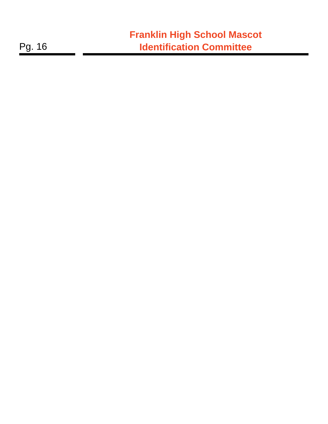|        | <b>Franklin High School Mascot</b> |
|--------|------------------------------------|
| Pg. 16 | <b>Identification Committee</b>    |